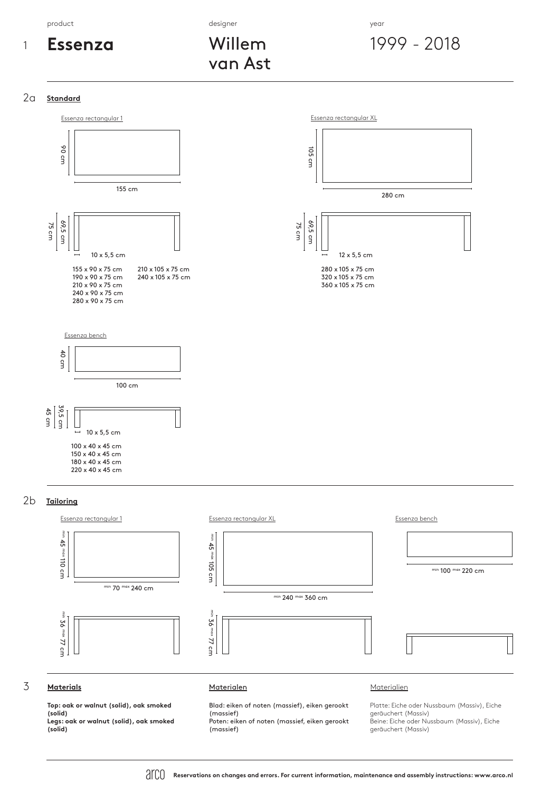product the control of the control of the designer  $\alpha$  designer  $\alpha$  and  $\alpha$  and  $\alpha$  and  $\alpha$  and  $\alpha$  and  $\alpha$  and  $\alpha$  and  $\alpha$  and  $\alpha$  and  $\alpha$  and  $\alpha$  and  $\alpha$  and  $\alpha$  and  $\alpha$  and  $\alpha$  and  $\alpha$  and  $\alpha$  and  $\alpha$ 



Willem van Ast

1999 - 2018

## 2a **Standard**



## 2b **Tailoring**



# 3 **Materials** Materialen Materialien

**Top: oak or walnut (solid), oak smoked (solid) Legs: oak or walnut (solid), oak smoked (solid)**

Blad: eiken of noten (massief), eiken gerookt (massief) Poten: eiken of noten (massief, eiken gerookt

(massief)

Platte: Eiche oder Nussbaum (Massiv), Eiche geräuchert (Massiv) Beine: Eiche oder Nussbaum (Massiv), Eiche geräuchert (Massiv)